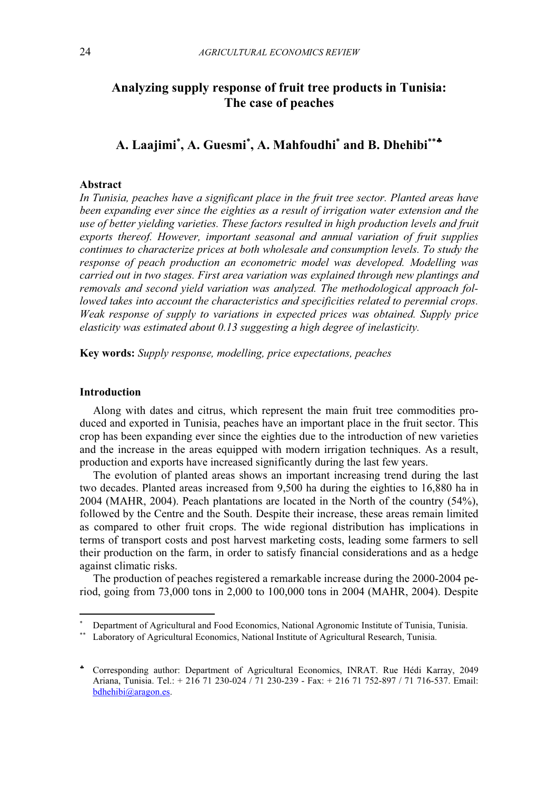# Analyzing supply response of fruit tree products in Tunisia: The case of peaches

# A. Laajimi<sup>\*</sup>, A. Guesmi<sup>\*</sup>, A. Mahfoudhi<sup>\*</sup> and B. Dhehibi<sup>\*\*</sup>\*

## Abstract

In Tunisia, peaches have a significant place in the fruit tree sector. Planted areas have been expanding ever since the eighties as a result of irrigation water extension and the use of better yielding varieties. These factors resulted in high production levels and fruit exports thereof. However, important seasonal and annual variation of fruit supplies continues to characterize prices at both wholesale and consumption levels. To study the response of peach production an econometric model was developed. Modelling was carried out in two stages. First area variation was explained through new plantings and removals and second yield variation was analyzed. The methodological approach followed takes into account the characteristics and specificities related to perennial crops. Weak response of supply to variations in expected prices was obtained. Supply price elasticity was estimated about 0.13 suggesting a high degree of inelasticity.

Key words: Supply response, modelling, price expectations, peaches

#### Introduction

 $\overline{a}$ 

Along with dates and citrus, which represent the main fruit tree commodities produced and exported in Tunisia, peaches have an important place in the fruit sector. This crop has been expanding ever since the eighties due to the introduction of new varieties and the increase in the areas equipped with modern irrigation techniques. As a result, production and exports have increased significantly during the last few years.

The evolution of planted areas shows an important increasing trend during the last two decades. Planted areas increased from 9,500 ha during the eighties to 16,880 ha in 2004 (MAHR, 2004). Peach plantations are located in the North of the country (54%), followed by the Centre and the South. Despite their increase, these areas remain limited as compared to other fruit crops. The wide regional distribution has implications in terms of transport costs and post harvest marketing costs, leading some farmers to sell their production on the farm, in order to satisfy financial considerations and as a hedge against climatic risks.

The production of peaches registered a remarkable increase during the 2000-2004 period, going from 73,000 tons in 2,000 to 100,000 tons in 2004 (MAHR, 2004). Despite

<sup>∗</sup> Department of Agricultural and Food Economics, National Agronomic Institute of Tunisia, Tunisia. Laboratory of Agricultural Economics, National Institute of Agricultural Research, Tunisia.

<sup>♣</sup> Corresponding author: Department of Agricultural Economics, INRAT. Rue Hédi Karray, 2049 Ariana, Tunisia. Tel.: + 216 71 230-024 / 71 230-239 - Fax: + 216 71 752-897 / 71 716-537. Email: bdhehibi@aragon.es.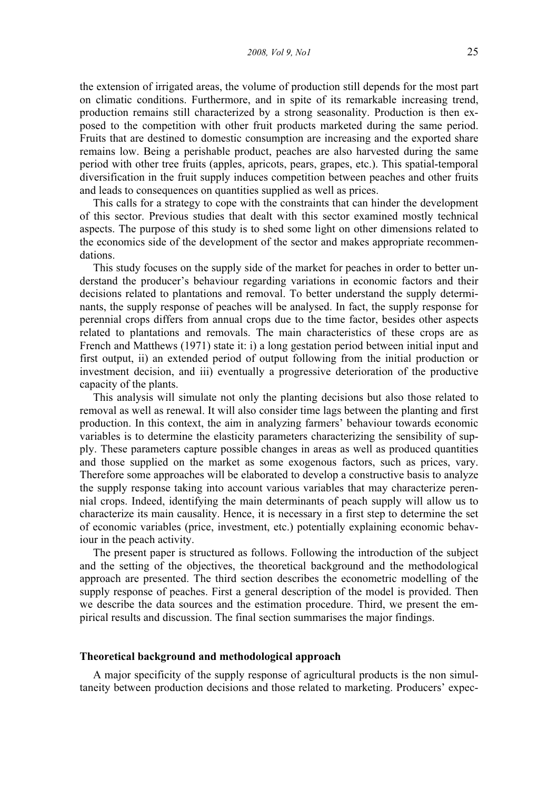the extension of irrigated areas, the volume of production still depends for the most part on climatic conditions. Furthermore, and in spite of its remarkable increasing trend, production remains still characterized by a strong seasonality. Production is then exposed to the competition with other fruit products marketed during the same period. Fruits that are destined to domestic consumption are increasing and the exported share remains low. Being a perishable product, peaches are also harvested during the same period with other tree fruits (apples, apricots, pears, grapes, etc.). This spatial-temporal diversification in the fruit supply induces competition between peaches and other fruits and leads to consequences on quantities supplied as well as prices.

This calls for a strategy to cope with the constraints that can hinder the development of this sector. Previous studies that dealt with this sector examined mostly technical aspects. The purpose of this study is to shed some light on other dimensions related to the economics side of the development of the sector and makes appropriate recommendations.

This study focuses on the supply side of the market for peaches in order to better understand the producer's behaviour regarding variations in economic factors and their decisions related to plantations and removal. To better understand the supply determinants, the supply response of peaches will be analysed. In fact, the supply response for perennial crops differs from annual crops due to the time factor, besides other aspects related to plantations and removals. The main characteristics of these crops are as French and Matthews (1971) state it: i) a long gestation period between initial input and first output, ii) an extended period of output following from the initial production or investment decision, and iii) eventually a progressive deterioration of the productive capacity of the plants.

This analysis will simulate not only the planting decisions but also those related to removal as well as renewal. It will also consider time lags between the planting and first production. In this context, the aim in analyzing farmers' behaviour towards economic variables is to determine the elasticity parameters characterizing the sensibility of supply. These parameters capture possible changes in areas as well as produced quantities and those supplied on the market as some exogenous factors, such as prices, vary. Therefore some approaches will be elaborated to develop a constructive basis to analyze the supply response taking into account various variables that may characterize perennial crops. Indeed, identifying the main determinants of peach supply will allow us to characterize its main causality. Hence, it is necessary in a first step to determine the set of economic variables (price, investment, etc.) potentially explaining economic behaviour in the peach activity.

The present paper is structured as follows. Following the introduction of the subject and the setting of the objectives, the theoretical background and the methodological approach are presented. The third section describes the econometric modelling of the supply response of peaches. First a general description of the model is provided. Then we describe the data sources and the estimation procedure. Third, we present the empirical results and discussion. The final section summarises the major findings.

## Theoretical background and methodological approach

A major specificity of the supply response of agricultural products is the non simultaneity between production decisions and those related to marketing. Producers' expec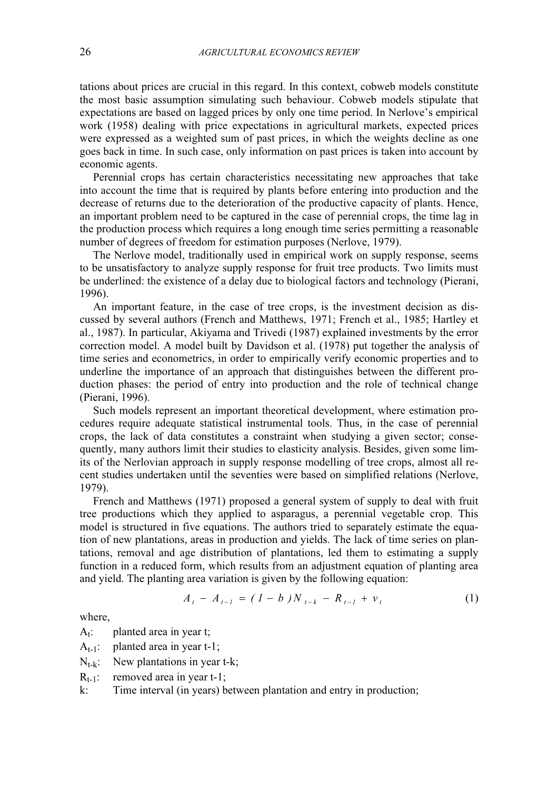tations about prices are crucial in this regard. In this context, cobweb models constitute the most basic assumption simulating such behaviour. Cobweb models stipulate that expectations are based on lagged prices by only one time period. In Nerlove's empirical work (1958) dealing with price expectations in agricultural markets, expected prices were expressed as a weighted sum of past prices, in which the weights decline as one goes back in time. In such case, only information on past prices is taken into account by economic agents.

Perennial crops has certain characteristics necessitating new approaches that take into account the time that is required by plants before entering into production and the decrease of returns due to the deterioration of the productive capacity of plants. Hence, an important problem need to be captured in the case of perennial crops, the time lag in the production process which requires a long enough time series permitting a reasonable number of degrees of freedom for estimation purposes (Nerlove, 1979).

The Nerlove model, traditionally used in empirical work on supply response, seems to be unsatisfactory to analyze supply response for fruit tree products. Two limits must be underlined: the existence of a delay due to biological factors and technology (Pierani, 1996).

An important feature, in the case of tree crops, is the investment decision as discussed by several authors (French and Matthews, 1971; French et al., 1985; Hartley et al., 1987). In particular, Akiyama and Trivedi (1987) explained investments by the error correction model. A model built by Davidson et al. (1978) put together the analysis of time series and econometrics, in order to empirically verify economic properties and to underline the importance of an approach that distinguishes between the different production phases: the period of entry into production and the role of technical change (Pierani, 1996).

Such models represent an important theoretical development, where estimation procedures require adequate statistical instrumental tools. Thus, in the case of perennial crops, the lack of data constitutes a constraint when studying a given sector; consequently, many authors limit their studies to elasticity analysis. Besides, given some limits of the Nerlovian approach in supply response modelling of tree crops, almost all recent studies undertaken until the seventies were based on simplified relations (Nerlove, 1979).

French and Matthews (1971) proposed a general system of supply to deal with fruit tree productions which they applied to asparagus, a perennial vegetable crop. This model is structured in five equations. The authors tried to separately estimate the equation of new plantations, areas in production and yields. The lack of time series on plantations, removal and age distribution of plantations, led them to estimating a supply function in a reduced form, which results from an adjustment equation of planting area and yield. The planting area variation is given by the following equation:<br>  $A_t - A_{t-1} = (1 - b)N_{t-k} - R_{t-1} + v_t$  (1)

$$
A_{t} - A_{t-1} = (1 - b)N_{t-k} - R_{t-1} + v_{t}
$$
 (1)

where,

 $A_t$ : planted area in year t;

- $A_{t-1}$ : planted area in year t-1;
- $N_{t-k}$ : New plantations in year t-k;

 $R_{t-1}$ : removed area in year t-1;

k: Time interval (in years) between plantation and entry in production;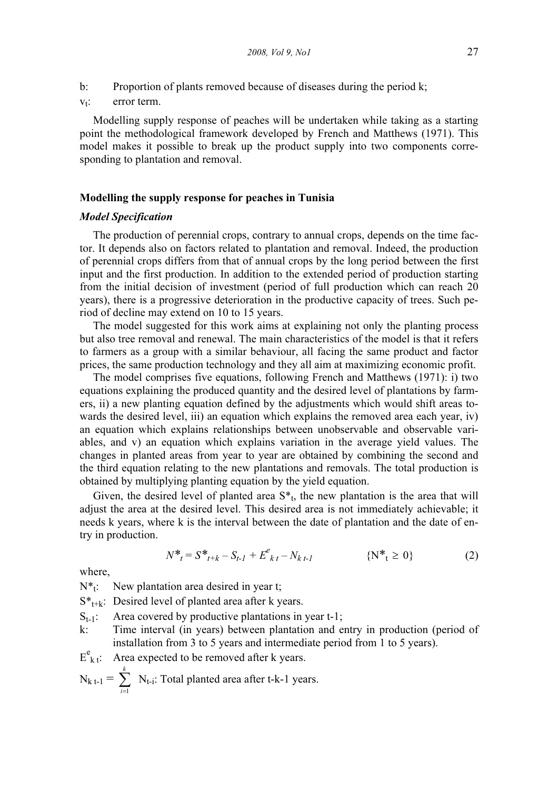$v_t$ : error term.

Modelling supply response of peaches will be undertaken while taking as a starting point the methodological framework developed by French and Matthews (1971). This model makes it possible to break up the product supply into two components corresponding to plantation and removal.

#### Modelling the supply response for peaches in Tunisia

### Model Specification

The production of perennial crops, contrary to annual crops, depends on the time factor. It depends also on factors related to plantation and removal. Indeed, the production of perennial crops differs from that of annual crops by the long period between the first input and the first production. In addition to the extended period of production starting from the initial decision of investment (period of full production which can reach 20 years), there is a progressive deterioration in the productive capacity of trees. Such period of decline may extend on 10 to 15 years.

The model suggested for this work aims at explaining not only the planting process but also tree removal and renewal. The main characteristics of the model is that it refers to farmers as a group with a similar behaviour, all facing the same product and factor prices, the same production technology and they all aim at maximizing economic profit.

The model comprises five equations, following French and Matthews (1971): i) two equations explaining the produced quantity and the desired level of plantations by farmers, ii) a new planting equation defined by the adjustments which would shift areas towards the desired level, iii) an equation which explains the removed area each year, iv) an equation which explains relationships between unobservable and observable variables, and v) an equation which explains variation in the average yield values. The changes in planted areas from year to year are obtained by combining the second and the third equation relating to the new plantations and removals. The total production is obtained by multiplying planting equation by the yield equation.

Given, the desired level of planted area  $S^*$ <sub>t</sub>, the new plantation is the area that will adjust the area at the desired level. This desired area is not immediately achievable; it needs k years, where k is the interval between the date of plantation and the date of entry in production.

$$
N^*_{t} = S^*_{t+k} - S_{t-1} + E^e_{kt} - N_{kt-1}
$$
 (N^\*\_{t} \ge 0) (2)

where,

 $\overline{L}$ 

 $N^*$ : New plantation area desired in year t;

 $S^*_{t+k}$ : Desired level of planted area after k years.

- $S_{t-1}$ : Area covered by productive plantations in year t-1;
- k: Time interval (in years) between plantation and entry in production (period of installation from 3 to 5 years and intermediate period from 1 to 5 years).
- $E_{k,i}^e$ Area expected to be removed after k years.

$$
N_{k t-1} = \sum_{i=1}^{k} N_{t-i}
$$
: Total planted area after t-k-1 years.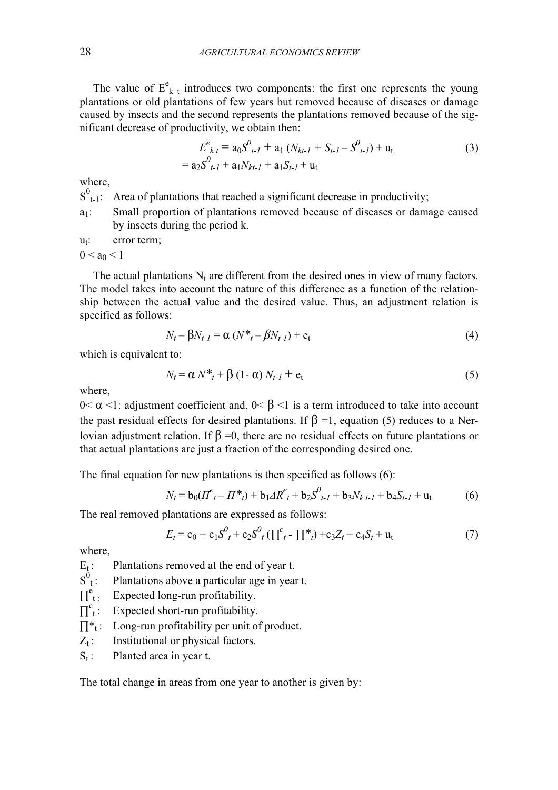The value of  $E_{k,t}^e$  introduces two components: the first one represents the young plantations or old plantations of few years but removed because of diseases or damage caused by insects and the second represents the plantations removed because of the significant decrease of productivity, we obtain then:

$$
E_{kt}^{e} = a_0 S_{t-1}^{0} + a_1 (N_{kt-1} + S_{t-1} - S_{t-1}^{0}) + u_t
$$
  
=  $a_2 S_{t-1}^{0} + a_1 N_{kt-1} + a_1 S_{t-1} + u_t$  (3)

where,

 $S^0_{t-1}$ : Area of plantations that reached a significant decrease in productivity;

a1: Small proportion of plantations removed because of diseases or damage caused by insects during the period k.

 $u_t$ : error term;

 $0 < a_0 < 1$ 

The actual plantations  $N_t$  are different from the desired ones in view of many factors. The model takes into account the nature of this difference as a function of the relationship between the actual value and the desired value. Thus, an adjustment relation is specified as follows:

$$
N_t - \beta N_{t-1} = \alpha (N^*_{t} - \beta N_{t-1}) + e_t
$$
\n
$$
\tag{4}
$$

which is equivalent to:

$$
N_t = \alpha N^* + \beta (1 - \alpha) N_{t-1} + e_t
$$
 (5)

where,

0< α <1: adjustment coefficient and, 0< β <1 is a term introduced to take into account the past residual effects for desired plantations. If  $\beta = 1$ , equation (5) reduces to a Nerlovian adjustment relation. If  $\beta = 0$ , there are no residual effects on future plantations or that actual plantations are just a fraction of the corresponding desired one.

The final equation for new plantations is then specified as follows (6):

$$
N_t = b_0 (I I_{t}^e - I I^*_{t}) + b_1 A R_{t}^e + b_2 S_{t-1}^0 + b_3 N_{k}{}_{t-1} + b_4 S_{t-1} + u_t
$$
 (6)

The real removed plantations are expressed as follows:

$$
E_t = c_0 + c_1 S^0_t + c_2 S^0_t (\prod_{t=1}^c \prod_{t=1}^*) + c_3 Z_t + c_4 S_t + u_t
$$
 (7)

where,

 $E_t$ : Plantations removed at the end of year t.

 $S^0_{\perp}$ : Plantations above a particular age in year t.

- $\prod^e t$ : Expected long-run profitability.
- $\prod_{i=1}^{c}$ Expected short-run profitability.
- $\prod_{i=1}^{k}$ : Long-run profitability per unit of product.
- $Z_t$ : Institutional or physical factors.
- $S_t$ : Planted area in year t.

The total change in areas from one year to another is given by: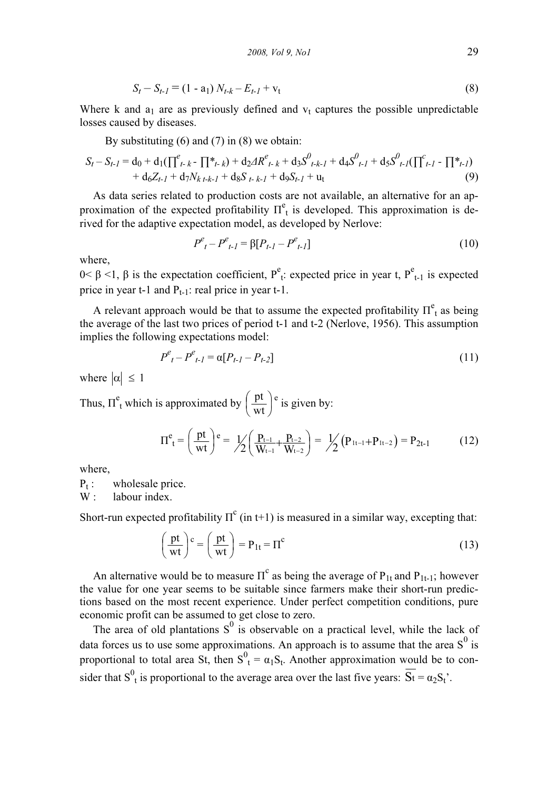$$
S_t - S_{t-1} = (1 - a_1) N_{t-k} - E_{t-1} + v_t
$$
\n(8)

Where k and  $a_1$  are as previously defined and  $v_t$  captures the possible unpredictable losses caused by diseases.

By substituting  $(6)$  and  $(7)$  in  $(8)$  we obtain:

$$
S_t - S_{t-1} = d_0 + d_1(\prod_{t-k}^{e} \prod_{t-k}^{*}) + d_2 \Delta R^e_{t-k} + d_3 S^0_{t-k-1} + d_4 S^0_{t-1} + d_5 S^0_{t-1}(\prod_{t-1}^{e} \prod_{t-1}^{*}) + d_6 Z_{t-1} + d_7 N_{k,t-k-1} + d_8 S_{t-k-1} + d_9 S_{t-1} + u_t
$$
\n(9)

As data series related to production costs are not available, an alternative for an approximation of the expected profitability  $\Pi_t^e$  is developed. This approximation is derived for the adaptive expectation model, as developed by Nerlove:

$$
P_{t}^{e} - P_{t-1}^{e} = \beta [P_{t-1} - P_{t-1}^{e}]
$$
\n(10)

where,

 $0 < \beta < 1$ , β is the expectation coefficient, P<sup>e</sup><sub>t</sub>: expected price in year t, P<sup>e</sup><sub>t-1</sub> is expected price in year t-1 and  $P_{t-1}$ : real price in year t-1.

A relevant approach would be that to assume the expected profitability  $\Pi_t^e$  as being the average of the last two prices of period t-1 and t-2 (Nerlove, 1956). This assumption implies the following expectations model:

$$
P_{t}^{e} - P_{t-1}^{e} = \alpha [P_{t-1} - P_{t-2}] \tag{11}
$$

where  $|\alpha| \leq 1$ 

Thus,  $\Pi^e$ <sub>t</sub> which is approximated by  $\left(\frac{pt}{mt}\right)$ ⎠  $\left(\frac{pt}{-t}\right)$ ⎝  $\big($ wt  $\left(\frac{pt}{wt}\right)^e$  is given by:  $\Pi^e_{t} = \left(\frac{pt}{mt}\right)^e$ ⎠  $\left(\frac{pt}{t}\right)$ ⎝  $\big($ wt  $\left( \frac{pt}{wt} \right)$  e =  $\frac{1}{2} \left( \frac{P_{t-1}}{W} + \frac{P_{t-2}}{W} \right)$ ⎠  $\left(\frac{P_{t-1}}{W} + \frac{P_{t-2}}{W}\right)$ ⎝  $\left(\frac{P_{t-1}}{W_{t-1}} + \frac{P_{t-2}}{W_{t-2}}\right)$ − $t - 2$  $t-1$  $\frac{t-1}{V_{t-1}} + \frac{P_t}{W_t}$ P W P  $\frac{1}{2} \left( \frac{P_{t-1}}{W_{t-1}} + \frac{P_{t-2}}{W_{t-2}} \right) = \frac{1}{2} \left( P_{1t-1} + P_{1t-2} \right)$ .  $1/((P_{1t-1}+P_{1t-2})=P_{2t-1}$  (12)

where,

 $P_t$ : wholesale price.

W : labour index.

Short-run expected profitability  $\Pi^c$  (in t+1) is measured in a similar way, excepting that:

$$
\left(\frac{\text{pt}}{\text{wt}}\right)^{\text{c}} = \left(\frac{\text{pt}}{\text{wt}}\right) = \text{P}_{1t} = \Pi^{\text{c}}
$$
\n(13)

An alternative would be to measure  $\Pi^c$  as being the average of  $P_{1t}$  and  $P_{1t-1}$ ; however the value for one year seems to be suitable since farmers make their short-run predictions based on the most recent experience. Under perfect competition conditions, pure economic profit can be assumed to get close to zero.

The area of old plantations  $S^0$  is observable on a practical level, while the lack of data forces us to use some approximations. An approach is to assume that the area  $S^0$  is proportional to total area St, then  $S^0_1 = \alpha_1 S_t$ . Another approximation would be to consider that  $S^0_{\ \rm t}$  is proportional to the average area over the last five years:  $\overline{St} = \alpha_2 S_t$ .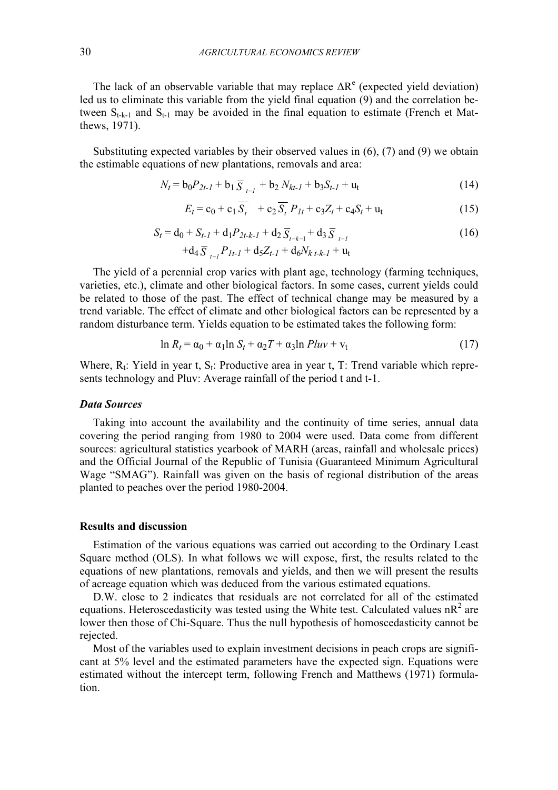The lack of an observable variable that may replace  $\Delta R^e$  (expected yield deviation) led us to eliminate this variable from the yield final equation (9) and the correlation between  $S_{t-k-1}$  and  $S_{t-1}$  may be avoided in the final equation to estimate (French et Matthews, 1971).

Substituting expected variables by their observed values in (6), (7) and (9) we obtain the estimable equations of new plantations, removals and area:<br>  $N_t = b_0 P_{2t-1} + b_1 \overline{S}_{t-1} + b_2 N_{kt-1} + b_3 S_{t-1} + u_t$  (14)

$$
N_t = b_0 P_{2t-1} + b_1 \overline{S}_{t-1} + b_2 N_{kt-1} + b_3 S_{t-1} + u_t
$$
\n(14)

$$
E_t = c_0 + c_1 \overline{S_t} + c_2 \overline{S_t} P_{1t} + c_3 Z_t + c_4 S_t + u_t
$$
  
\n
$$
S_t = d_0 + S_{t-1} + d_1 P_{2t-k-1} + d_2 \overline{S}_{t-k-1} + d_3 \overline{S}_{t-1}
$$
\n(16)

$$
S_t = d_0 + S_{t-1} + d_1 P_{2t-k-1} + d_2 \overline{S}_{t-k-1} + d_3 \overline{S}_{t-1} + d_4 \overline{S}_{t-1} P_{1t-1} + d_5 Z_{t-1} + d_6 N_{k,t-k-1} + u_t
$$
\n(16)

The yield of a perennial crop varies with plant age, technology (farming techniques, varieties, etc.), climate and other biological factors. In some cases, current yields could be related to those of the past. The effect of technical change may be measured by a trend variable. The effect of climate and other biological factors can be represented by a random disturbance term. Yields equation to be estimated takes the following form:

$$
\ln R_t = \alpha_0 + \alpha_1 \ln S_t + \alpha_2 T + \alpha_3 \ln Pluv + v_t \tag{17}
$$

Where,  $R_t$ : Yield in year t,  $S_t$ : Productive area in year t, T: Trend variable which represents technology and Pluv: Average rainfall of the period t and t-1.

#### Data Sources

Taking into account the availability and the continuity of time series, annual data covering the period ranging from 1980 to 2004 were used. Data come from different sources: agricultural statistics yearbook of MARH (areas, rainfall and wholesale prices) and the Official Journal of the Republic of Tunisia (Guaranteed Minimum Agricultural Wage "SMAG"). Rainfall was given on the basis of regional distribution of the areas planted to peaches over the period 1980-2004.

#### Results and discussion

Estimation of the various equations was carried out according to the Ordinary Least Square method (OLS). In what follows we will expose, first, the results related to the equations of new plantations, removals and yields, and then we will present the results of acreage equation which was deduced from the various estimated equations.

D.W. close to 2 indicates that residuals are not correlated for all of the estimated equations. Heteroscedasticity was tested using the White test. Calculated values  $nR^2$  are lower then those of Chi-Square. Thus the null hypothesis of homoscedasticity cannot be rejected.

Most of the variables used to explain investment decisions in peach crops are significant at 5% level and the estimated parameters have the expected sign. Equations were estimated without the intercept term, following French and Matthews (1971) formulation.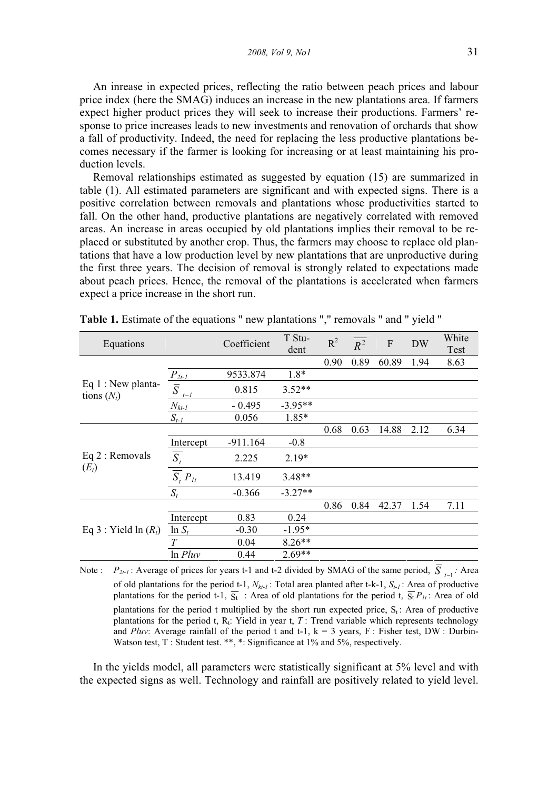2008, Vol 9, No1 31

An inrease in expected prices, reflecting the ratio between peach prices and labour price index (here the SMAG) induces an increase in the new plantations area. If farmers expect higher product prices they will seek to increase their productions. Farmers' response to price increases leads to new investments and renovation of orchards that show a fall of productivity. Indeed, the need for replacing the less productive plantations becomes necessary if the farmer is looking for increasing or at least maintaining his production levels.

Removal relationships estimated as suggested by equation (15) are summarized in table (1). All estimated parameters are significant and with expected signs. There is a positive correlation between removals and plantations whose productivities started to fall. On the other hand, productive plantations are negatively correlated with removed areas. An increase in areas occupied by old plantations implies their removal to be replaced or substituted by another crop. Thus, the farmers may choose to replace old plantations that have a low production level by new plantations that are unproductive during the first three years. The decision of removal is strongly related to expectations made about peach prices. Hence, the removal of the plantations is accelerated when farmers expect a price increase in the short run.

| Equations                            |                                          | Coefficient | T Stu-<br>dent | $R^2$ | $R^2$ | $\boldsymbol{\mathrm{F}}$ | <b>DW</b> | White<br>Test |
|--------------------------------------|------------------------------------------|-------------|----------------|-------|-------|---------------------------|-----------|---------------|
| Eq $1:$ New planta-<br>tions $(N_t)$ |                                          |             |                | 0.90  | 0.89  | 60.89                     | 1.94      | 8.63          |
|                                      |                                          | 9533.874    | $1.8*$         |       |       |                           |           |               |
|                                      | $\frac{P_{2t-1}}{\overline{S}}$<br>$t-1$ | 0.815       | $3.52**$       |       |       |                           |           |               |
|                                      | $N_{kt-1}$                               | $-0.495$    | $-3.95**$      |       |       |                           |           |               |
|                                      | $S_{t-1}$                                | 0.056       | 1.85*          |       |       |                           |           |               |
| Eq 2 : Removals<br>$(E_t)$           |                                          |             |                | 0.68  | 0.63  | 14.88                     | 2.12      | 6.34          |
|                                      | Intercept                                | $-911.164$  | $-0.8$         |       |       |                           |           |               |
|                                      | $\overline{\overline{S_t}}$              | 2.225       | $2.19*$        |       |       |                           |           |               |
|                                      | $\overline{S_t} P_{lt}$                  | 13.419      | $3.48**$       |       |       |                           |           |               |
|                                      | $S_t$                                    | $-0.366$    | $-3.27**$      |       |       |                           |           |               |
| Eq 3 : Yield $\ln(R_t)$              |                                          |             |                | 0.86  | 0.84  | 42.37                     | 1.54      | 7.11          |
|                                      | Intercept                                | 0.83        | 0.24           |       |       |                           |           |               |
|                                      | $\ln S_t$                                | $-0.30$     | $-1.95*$       |       |       |                           |           |               |
|                                      | T                                        | 0.04        | $8.26**$       |       |       |                           |           |               |
|                                      | $ln$ $Pluv$                              | 0.44        | $2.69**$       |       |       |                           |           |               |

Table 1. Estimate of the equations " new plantations "," removals " and " yield "

Note :  $P_{2t-1}$ : Average of prices for years t-1 and t-2 divided by SMAG of the same period,  $\overline{S}_{t-1}$ : Area of old plantations for the period t-1,  $N_{kt-1}$ : Total area planted after t-k-1,  $S_{t-1}$ : Area of productive plantations for the period t-1,  $\overline{S_t}$  : Area of old plantations for the period t,  $\overline{S_t}P_{1t}$ : Area of old plantations for the period t multiplied by the short run expected price,  $S_t$ : Area of productive plantations for the period t,  $R_t$ : Yield in year t, T : Trend variable which represents technology and Pluv: Average rainfall of the period t and t-1,  $k = 3$  years, F : Fisher test, DW : Durbin-Watson test, T : Student test. \*\*, \*: Significance at 1% and 5%, respectively.

In the yields model, all parameters were statistically significant at 5% level and with the expected signs as well. Technology and rainfall are positively related to yield level.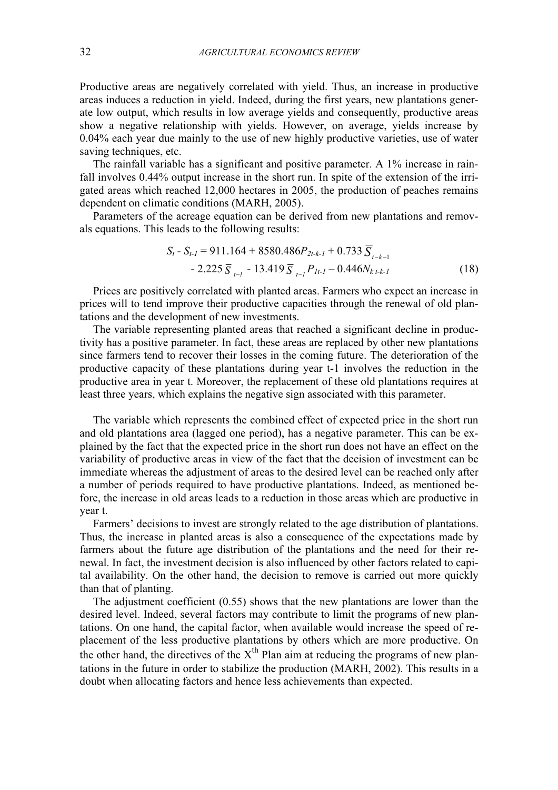Productive areas are negatively correlated with yield. Thus, an increase in productive areas induces a reduction in yield. Indeed, during the first years, new plantations generate low output, which results in low average yields and consequently, productive areas show a negative relationship with yields. However, on average, yields increase by 0.04% each year due mainly to the use of new highly productive varieties, use of water saving techniques, etc.

The rainfall variable has a significant and positive parameter. A 1% increase in rainfall involves 0.44% output increase in the short run. In spite of the extension of the irrigated areas which reached 12,000 hectares in 2005, the production of peaches remains dependent on climatic conditions (MARH, 2005).

Parameters of the acreage equation can be derived from new plantations and removals equations. This leads to the following results:<br> $S_t - S_{t-1} = 911.164 + 8580.486P_{2t-k-1} + 0.733 \overline{S}_{t-k-1}$ 

$$
S_{t} - S_{t-1} = 911.164 + 8580.486P_{2t-k-1} + 0.733 \overline{S}_{t-k-1} - 2.225 \overline{S}_{t-1} - 13.419 \overline{S}_{t-1}P_{1t-1} - 0.446N_{k,t-k-1}
$$
\n(18)

Prices are positively correlated with planted areas. Farmers who expect an increase in prices will to tend improve their productive capacities through the renewal of old plantations and the development of new investments.

The variable representing planted areas that reached a significant decline in productivity has a positive parameter. In fact, these areas are replaced by other new plantations since farmers tend to recover their losses in the coming future. The deterioration of the productive capacity of these plantations during year t-1 involves the reduction in the productive area in year t. Moreover, the replacement of these old plantations requires at least three years, which explains the negative sign associated with this parameter.

The variable which represents the combined effect of expected price in the short run and old plantations area (lagged one period), has a negative parameter. This can be explained by the fact that the expected price in the short run does not have an effect on the variability of productive areas in view of the fact that the decision of investment can be immediate whereas the adjustment of areas to the desired level can be reached only after a number of periods required to have productive plantations. Indeed, as mentioned before, the increase in old areas leads to a reduction in those areas which are productive in year t.

Farmers' decisions to invest are strongly related to the age distribution of plantations. Thus, the increase in planted areas is also a consequence of the expectations made by farmers about the future age distribution of the plantations and the need for their renewal. In fact, the investment decision is also influenced by other factors related to capital availability. On the other hand, the decision to remove is carried out more quickly than that of planting.

The adjustment coefficient (0.55) shows that the new plantations are lower than the desired level. Indeed, several factors may contribute to limit the programs of new plantations. On one hand, the capital factor, when available would increase the speed of replacement of the less productive plantations by others which are more productive. On the other hand, the directives of the  $X<sup>th</sup>$  Plan aim at reducing the programs of new plantations in the future in order to stabilize the production (MARH, 2002). This results in a doubt when allocating factors and hence less achievements than expected.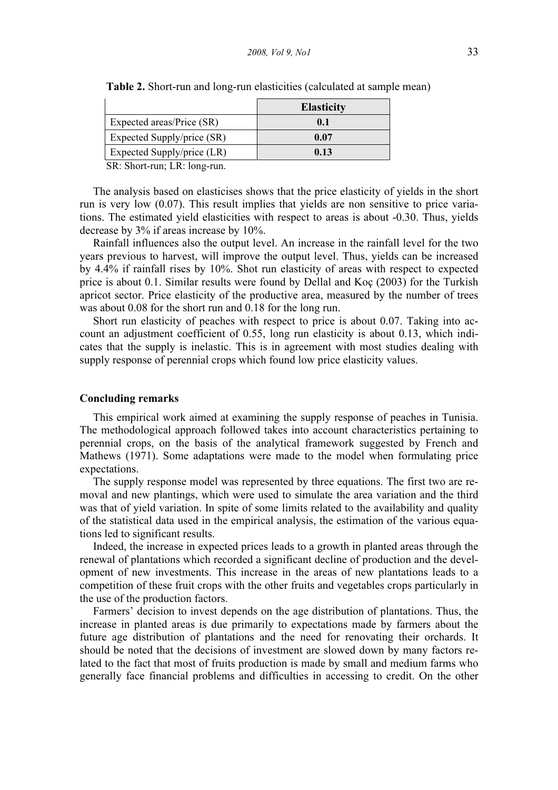|                            | <b>Elasticity</b> |
|----------------------------|-------------------|
| Expected areas/Price (SR)  | 0.1               |
| Expected Supply/price (SR) | 0.07              |
| Expected Supply/price (LR) | 0.13              |

Table 2. Short-run and long-run elasticities (calculated at sample mean)

SR: Short-run; LR: long-run.

The analysis based on elasticises shows that the price elasticity of yields in the short run is very low (0.07). This result implies that yields are non sensitive to price variations. The estimated yield elasticities with respect to areas is about -0.30. Thus, yields decrease by 3% if areas increase by 10%.

Rainfall influences also the output level. An increase in the rainfall level for the two years previous to harvest, will improve the output level. Thus, yields can be increased by 4.4% if rainfall rises by 10%. Shot run elasticity of areas with respect to expected price is about 0.1. Similar results were found by Dellal and Koç (2003) for the Turkish apricot sector. Price elasticity of the productive area, measured by the number of trees was about 0.08 for the short run and 0.18 for the long run.

Short run elasticity of peaches with respect to price is about 0.07. Taking into account an adjustment coefficient of 0.55, long run elasticity is about 0.13, which indicates that the supply is inelastic. This is in agreement with most studies dealing with supply response of perennial crops which found low price elasticity values.

#### Concluding remarks

This empirical work aimed at examining the supply response of peaches in Tunisia. The methodological approach followed takes into account characteristics pertaining to perennial crops, on the basis of the analytical framework suggested by French and Mathews (1971). Some adaptations were made to the model when formulating price expectations.

The supply response model was represented by three equations. The first two are removal and new plantings, which were used to simulate the area variation and the third was that of yield variation. In spite of some limits related to the availability and quality of the statistical data used in the empirical analysis, the estimation of the various equations led to significant results.

Indeed, the increase in expected prices leads to a growth in planted areas through the renewal of plantations which recorded a significant decline of production and the development of new investments. This increase in the areas of new plantations leads to a competition of these fruit crops with the other fruits and vegetables crops particularly in the use of the production factors.

Farmers' decision to invest depends on the age distribution of plantations. Thus, the increase in planted areas is due primarily to expectations made by farmers about the future age distribution of plantations and the need for renovating their orchards. It should be noted that the decisions of investment are slowed down by many factors related to the fact that most of fruits production is made by small and medium farms who generally face financial problems and difficulties in accessing to credit. On the other